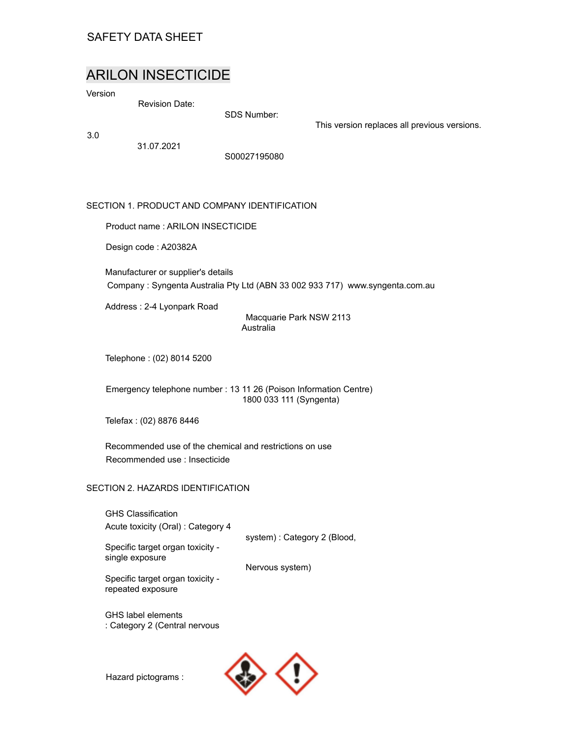## SAFETY DATA SHEET

# ARILON INSECTICIDE

Version

Revision Date:

SDS Number:

3.0

31.07.2021

S00027195080

## SECTION 1. PRODUCT AND COMPANY IDENTIFICATION

Product name : ARILON INSECTICIDE

Design code : A20382A

Manufacturer or supplier's details Company : Syngenta Australia Pty Ltd (ABN 33 002 933 717) www.syngenta.com.au

Address : 2-4 Lyonpark Road

Macquarie Park NSW 2113 Australia

This version replaces all previous versions.

Telephone : (02) 8014 5200

Emergency telephone number : 13 11 26 (Poison Information Centre) 1800 033 111 (Syngenta)

Telefax : (02) 8876 8446

Recommended use of the chemical and restrictions on use Recommended use : Insecticide

## SECTION 2. HAZARDS IDENTIFICATION

GHS Classification Acute toxicity (Oral) : Category 4

system) : Category 2 (Blood,

Specific target organ toxicity single exposure

Nervous system)

Specific target organ toxicity repeated exposure

GHS label elements : Category 2 (Central nervous

Hazard pictograms :

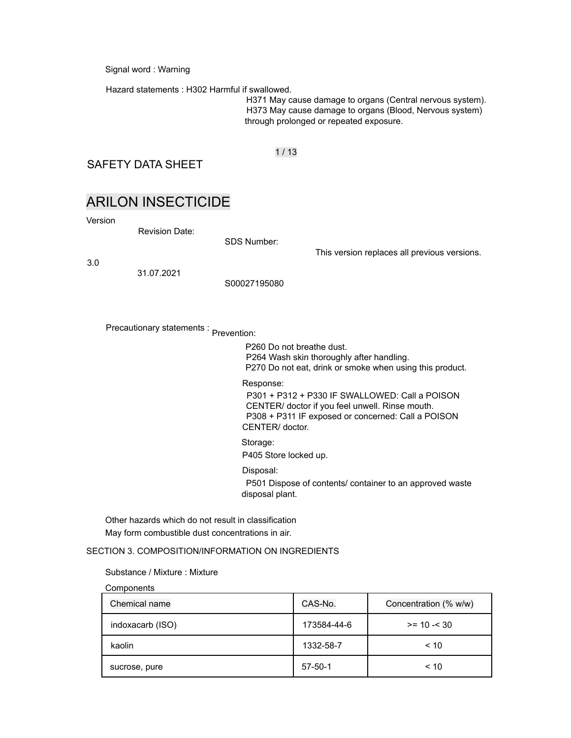Signal word : Warning

Hazard statements : H302 Harmful if swallowed.

H371 May cause damage to organs (Central nervous system). H373 May cause damage to organs (Blood, Nervous system) through prolonged or repeated exposure.

## 1 / 13

SAFETY DATA SHEET

# ARILON INSECTICIDE

Version

Revision Date:

SDS Number:

3.0

31.07.2021

S00027195080

Precautionary statements : Prevention:

P260 Do not breathe dust. P264 Wash skin thoroughly after handling. P270 Do not eat, drink or smoke when using this product.

This version replaces all previous versions.

#### Response:

P301 + P312 + P330 IF SWALLOWED: Call a POISON CENTER/ doctor if you feel unwell. Rinse mouth. P308 + P311 IF exposed or concerned: Call a POISON CENTER/ doctor.

#### Storage:

P405 Store locked up.

Disposal:

P501 Dispose of contents/ container to an approved waste disposal plant.

Other hazards which do not result in classification May form combustible dust concentrations in air.

### SECTION 3. COMPOSITION/INFORMATION ON INGREDIENTS

#### Substance / Mixture : Mixture

Components

| Chemical name    | CAS-No.       | Concentration (% w/w) |
|------------------|---------------|-----------------------|
| indoxacarb (ISO) | 173584-44-6   | $>= 10 - 30$          |
| kaolin           | 1332-58-7     | < 10                  |
| sucrose, pure    | $57 - 50 - 1$ | < 10                  |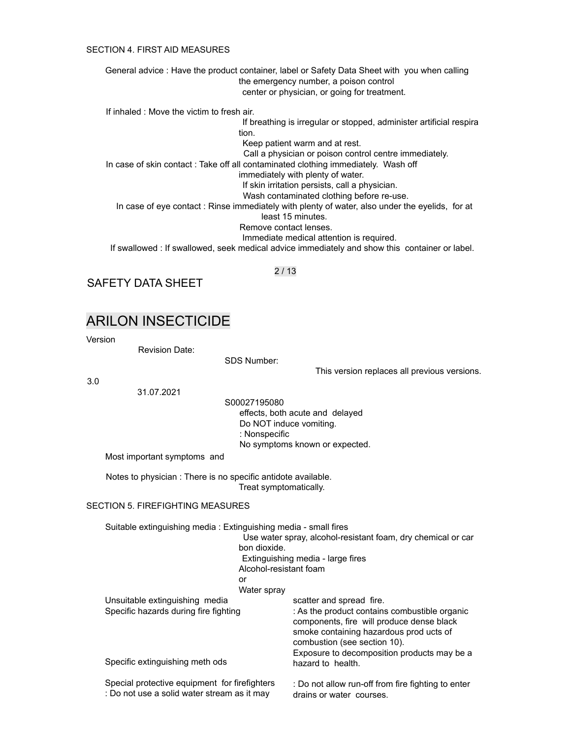#### SECTION 4. FIRST AID MEASURES

General advice : Have the product container, label or Safety Data Sheet with you when calling the emergency number, a poison control center or physician, or going for treatment. If inhaled : Move the victim to fresh air. If breathing is irregular or stopped, administer artificial respira tion. Keep patient warm and at rest. Call a physician or poison control centre immediately. In case of skin contact : Take off all contaminated clothing immediately. Wash off immediately with plenty of water. If skin irritation persists, call a physician. Wash contaminated clothing before re-use. In case of eye contact : Rinse immediately with plenty of water, also under the eyelids, for at least 15 minutes. Remove contact lenses. Immediate medical attention is required. If swallowed : If swallowed, seek medical advice immediately and show this container or label.

2 / 13

SAFETY DATA SHEET

## ARILON INSECTICIDE

Version

Revision Date:

SDS Number:

3.0

31.07.2021

S00027195080 effects, both acute and delayed Do NOT induce vomiting. : Nonspecific No symptoms known or expected.

Most important symptoms and

Notes to physician : There is no specific antidote available. Treat symptomatically.

#### SECTION 5. FIREFIGHTING MEASURES

Suitable extinguishing media : Extinguishing media - small fires

Use water spray, alcohol-resistant foam, dry chemical or car bon dioxide. Extinguishing media - large fires Alcohol-resistant foam

This version replaces all previous versions.

or

Water spray

| Water spray                                                                                  |                                                                                                                                                                       |
|----------------------------------------------------------------------------------------------|-----------------------------------------------------------------------------------------------------------------------------------------------------------------------|
| Unsuitable extinguishing media                                                               | scatter and spread fire.                                                                                                                                              |
| Specific hazards during fire fighting                                                        | : As the product contains combustible organic<br>components, fire will produce dense black<br>smoke containing hazardous prod ucts of<br>combustion (see section 10). |
| Specific extinguishing meth ods                                                              | Exposure to decomposition products may be a<br>hazard to health.                                                                                                      |
| Special protective equipment for firefighters<br>: Do not use a solid water stream as it may | : Do not allow run-off from fire fighting to enter<br>drains or water courses.                                                                                        |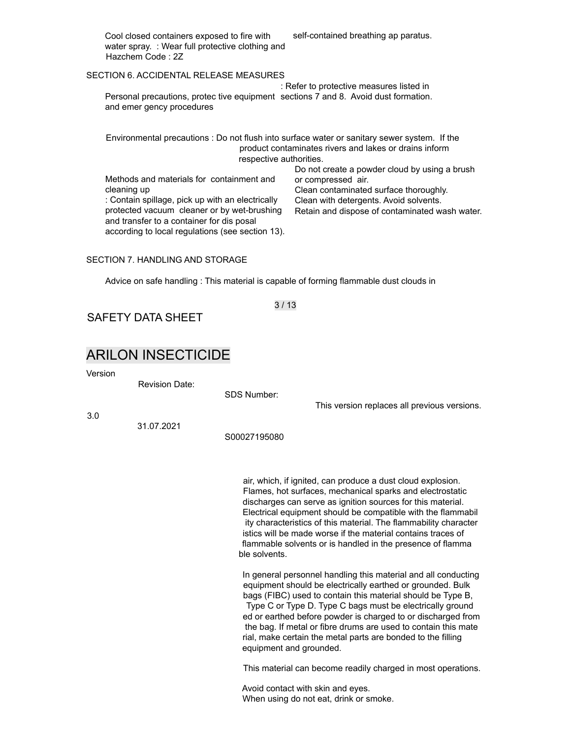Cool closed containers exposed to fire with water spray. : Wear full protective clothing and Hazchem Code : 2Z

self-contained breathing ap paratus.

#### SECTION 6. ACCIDENTAL RELEASE MEASURES

Personal precautions, protec tive equipment sections 7 and 8. Avoid dust formation. and emer gency procedures : Refer to protective measures listed in

Environmental precautions : Do not flush into surface water or sanitary sewer system. If the product contaminates rivers and lakes or drains inform respective authorities. Do not create a powder cloud by using a brush

Methods and materials for containment and cleaning up : Contain spillage, pick up with an electrically protected vacuum cleaner or by wet-brushing and transfer to a container for dis posal according to local regulations (see section 13).

or compressed air. Clean contaminated surface thoroughly. Clean with detergents. Avoid solvents. Retain and dispose of contaminated wash water.

This version replaces all previous versions.

#### SECTION 7. HANDLING AND STORAGE

Advice on safe handling : This material is capable of forming flammable dust clouds in

3 / 13

SAFETY DATA SHEET

## ARILON INSECTICIDE

Version

Revision Date:

SDS Number:

3.0

31.07.2021

S00027195080

air, which, if ignited, can produce a dust cloud explosion. Flames, hot surfaces, mechanical sparks and electrostatic discharges can serve as ignition sources for this material. Electrical equipment should be compatible with the flammabil ity characteristics of this material. The flammability character istics will be made worse if the material contains traces of flammable solvents or is handled in the presence of flamma ble solvents.

In general personnel handling this material and all conducting equipment should be electrically earthed or grounded. Bulk bags (FIBC) used to contain this material should be Type B, Type C or Type D. Type C bags must be electrically ground ed or earthed before powder is charged to or discharged from the bag. If metal or fibre drums are used to contain this mate rial, make certain the metal parts are bonded to the filling equipment and grounded.

This material can become readily charged in most operations.

Avoid contact with skin and eyes. When using do not eat, drink or smoke.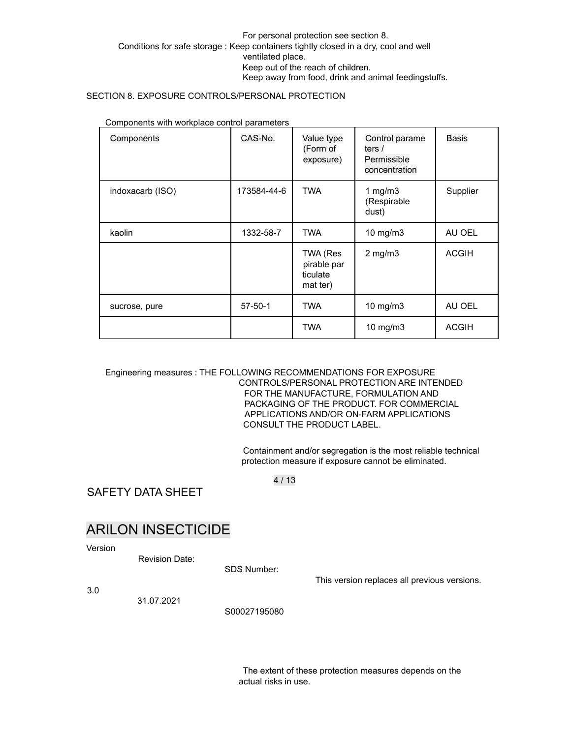### For personal protection see section 8. Conditions for safe storage : Keep containers tightly closed in a dry, cool and well ventilated place. Keep out of the reach of children. Keep away from food, drink and animal feedingstuffs.

### SECTION 8. EXPOSURE CONTROLS/PERSONAL PROTECTION

| Components       | CAS-No.       | Value type<br>(Form of<br>exposure)             | Control parame<br>ters /<br>Permissible<br>concentration | <b>Basis</b> |
|------------------|---------------|-------------------------------------------------|----------------------------------------------------------|--------------|
| indoxacarb (ISO) | 173584-44-6   | <b>TWA</b>                                      | 1 $mg/m3$<br>(Respirable<br>dust)                        | Supplier     |
| kaolin           | 1332-58-7     | <b>TWA</b>                                      | $10$ mg/m $3$                                            | AU OEL       |
|                  |               | TWA (Res<br>pirable par<br>ticulate<br>mat ter) | $2$ mg/m $3$                                             | <b>ACGIH</b> |
| sucrose, pure    | $57 - 50 - 1$ | <b>TWA</b>                                      | 10 mg/m3                                                 | AU OEL       |
|                  |               | <b>TWA</b>                                      | 10 mg/m3                                                 | <b>ACGIH</b> |

Components with workplace control parameters

### Engineering measures : THE FOLLOWING RECOMMENDATIONS FOR EXPOSURE CONTROLS/PERSONAL PROTECTION ARE INTENDED FOR THE MANUFACTURE, FORMULATION AND PACKAGING OF THE PRODUCT. FOR COMMERCIAL APPLICATIONS AND/OR ON-FARM APPLICATIONS CONSULT THE PRODUCT LABEL.

Containment and/or segregation is the most reliable technical protection measure if exposure cannot be eliminated.

4 / 13

SAFETY DATA SHEET

# ARILON INSECTICIDE

Version

Revision Date:

SDS Number:

This version replaces all previous versions.

3.0

31.07.2021

S00027195080

The extent of these protection measures depends on the actual risks in use.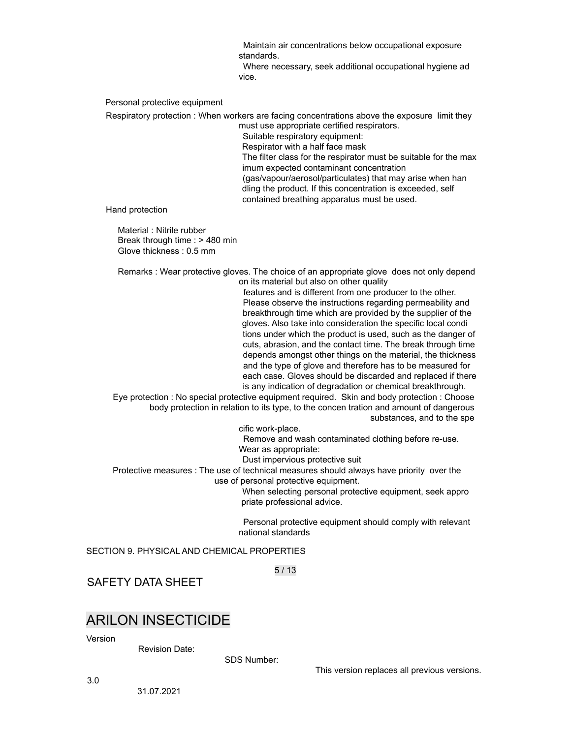Maintain air concentrations below occupational exposure standards.

Where necessary, seek additional occupational hygiene ad vice.

Personal protective equipment

Respiratory protection : When workers are facing concentrations above the exposure limit they must use appropriate certified respirators.

Suitable respiratory equipment: Respirator with a half face mask The filter class for the respirator must be suitable for the max imum expected contaminant concentration (gas/vapour/aerosol/particulates) that may arise when han dling the product. If this concentration is exceeded, self contained breathing apparatus must be used.

Hand protection

Material : Nitrile rubber Break through time : > 480 min Glove thickness : 0.5 mm

Remarks : Wear protective gloves. The choice of an appropriate glove does not only depend on its material but also on other quality

> features and is different from one producer to the other. Please observe the instructions regarding permeability and breakthrough time which are provided by the supplier of the gloves. Also take into consideration the specific local condi tions under which the product is used, such as the danger of cuts, abrasion, and the contact time. The break through time depends amongst other things on the material, the thickness and the type of glove and therefore has to be measured for each case. Gloves should be discarded and replaced if there is any indication of degradation or chemical breakthrough.

Eye protection : No special protective equipment required. Skin and body protection : Choose body protection in relation to its type, to the concen tration and amount of dangerous substances, and to the spe

cific work-place.

Remove and wash contaminated clothing before re-use. Wear as appropriate:

Dust impervious protective suit

Protective measures : The use of technical measures should always have priority over the use of personal protective equipment.

> When selecting personal protective equipment, seek appro priate professional advice.

Personal protective equipment should comply with relevant national standards

SECTION 9. PHYSICAL AND CHEMICAL PROPERTIES

5 / 13

SAFETY DATA SHEET

## ARILON INSECTICIDE

Version

Revision Date:

SDS Number:

This version replaces all previous versions.

3.0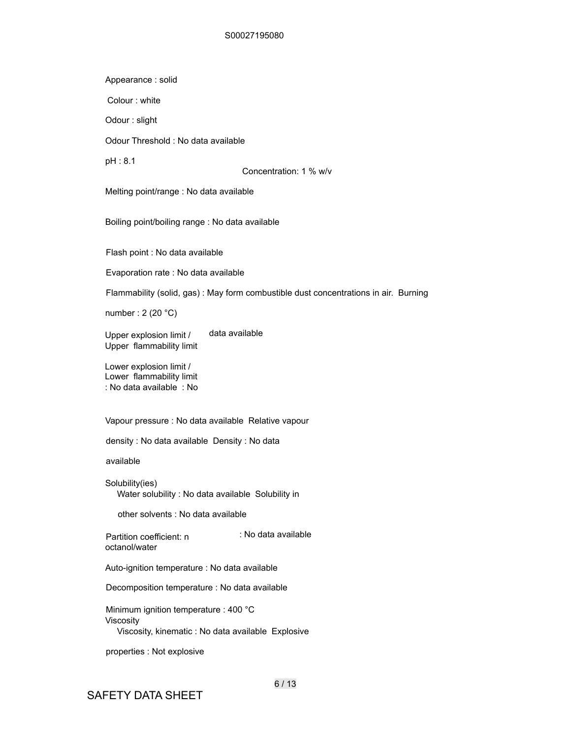#### S00027195080

Appearance : solid

Colour : white

Odour : slight

Odour Threshold : No data available

pH : 8.1

Concentration: 1 % w/v

Melting point/range : No data available

Boiling point/boiling range : No data available

Flash point : No data available

Evaporation rate : No data available

Flammability (solid, gas) : May form combustible dust concentrations in air. Burning

number : 2 (20 °C)

Upper explosion limit / Upper flammability limit data available

Lower explosion limit / Lower flammability limit : No data available : No

Vapour pressure : No data available Relative vapour

density : No data available Density : No data

available

Solubility(ies) Water solubility : No data available Solubility in

other solvents : No data available

Partition coefficient: n octanol/water : No data available

Auto-ignition temperature : No data available

Decomposition temperature : No data available

Minimum ignition temperature : 400 °C Viscosity Viscosity, kinematic : No data available Explosive

properties : Not explosive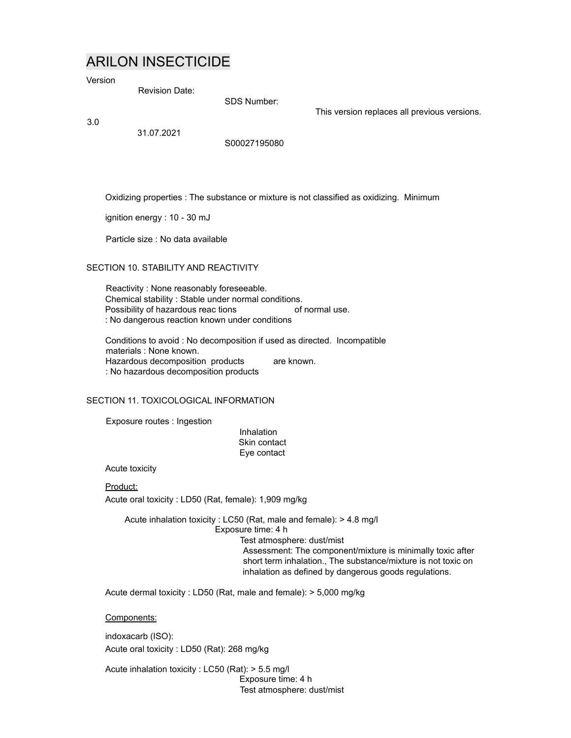# ARILON INSECTICIDE

Version

Revision Date:

SDS Number:

3.0

31.07.2021

S00027195080

Oxidizing properties : The substance or mixture is not classified as oxidizing. Minimum

This version replaces all previous versions.

ignition energy : 10 - 30 mJ

Particle size : No data available

### SECTION 10. STABILITY AND REACTIVITY

Reactivity : None reasonably foreseeable. Chemical stability : Stable under normal conditions. Possibility of hazardous reac tions : No dangerous reaction known under conditions of normal use.

Conditions to avoid : No decomposition if used as directed. Incompatible materials : None known. Hazardous decomposition products : No hazardous decomposition products are known.

SECTION 11. TOXICOLOGICAL INFORMATION

Exposure routes : Ingestion

**Inhalation** Skin contact Eye contact

Acute toxicity

Product: Acute oral toxicity : LD50 (Rat, female): 1,909 mg/kg

Acute inhalation toxicity : LC50 (Rat, male and female): > 4.8 mg/l Exposure time: 4 h Test atmosphere: dust/mist Assessment: The component/mixture is minimally toxic after short term inhalation., The substance/mixture is not toxic on inhalation as defined by dangerous goods regulations.

Acute dermal toxicity : LD50 (Rat, male and female): > 5,000 mg/kg

Components:

indoxacarb (ISO): Acute oral toxicity : LD50 (Rat): 268 mg/kg

Acute inhalation toxicity : LC50 (Rat): > 5.5 mg/l Exposure time: 4 h Test atmosphere: dust/mist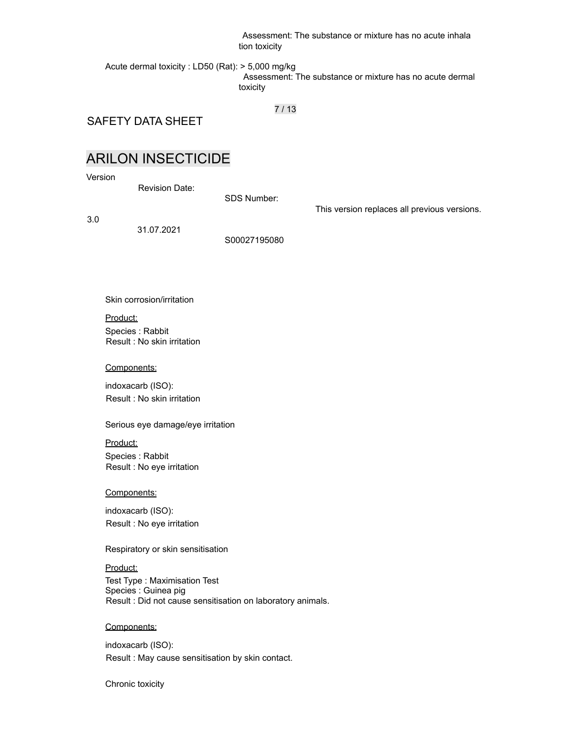Assessment: The substance or mixture has no acute inhala tion toxicity

Acute dermal toxicity : LD50 (Rat): > 5,000 mg/kg Assessment: The substance or mixture has no acute dermal toxicity

7 / 13

SAFETY DATA SHEET

# ARILON INSECTICIDE

Version

Revision Date:

SDS Number:

This version replaces all previous versions.

3.0

31.07.2021

S00027195080

Skin corrosion/irritation

Product: Species : Rabbit Result : No skin irritation

#### Components:

indoxacarb (ISO): Result : No skin irritation

Serious eye damage/eye irritation

Product: Species : Rabbit Result : No eye irritation

#### Components:

indoxacarb (ISO): Result : No eye irritation

Respiratory or skin sensitisation

Product: Test Type : Maximisation Test Species : Guinea pig Result : Did not cause sensitisation on laboratory animals.

#### Components:

indoxacarb (ISO): Result : May cause sensitisation by skin contact.

Chronic toxicity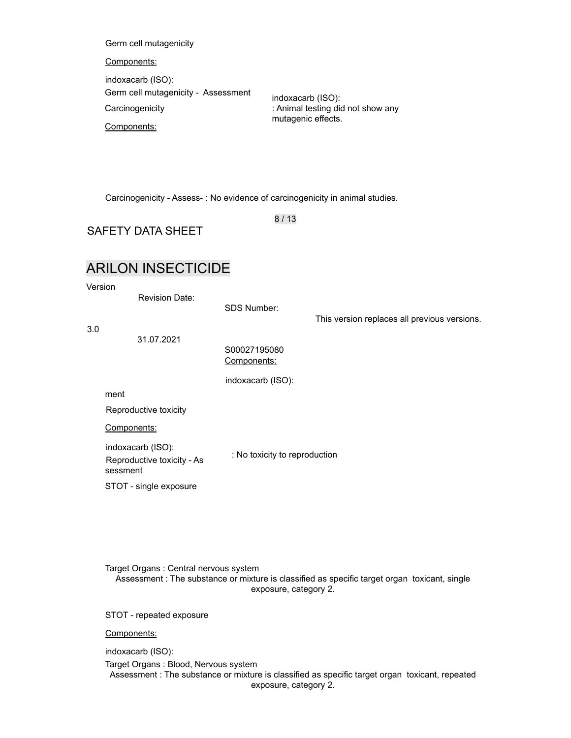Germ cell mutagenicity

#### Components:

indoxacarb (ISO): Germ cell mutagenicity - Assessment **Carcinogenicity** 

indoxacarb (ISO): : Animal testing did not show any mutagenic effects.

Components:

Carcinogenicity - Assess- : No evidence of carcinogenicity in animal studies.

8 / 13

SAFETY DATA SHEET

# ARILON INSECTICIDE

Version

Revision Date:

SDS Number:

This version replaces all previous versions.

3.0

31.07.2021

S00027195080 Components:

indoxacarb (ISO):

ment

Reproductive toxicity

Components:

indoxacarb (ISO): Reproductive toxicity - As sessment

: No toxicity to reproduction

STOT - single exposure

Target Organs : Central nervous system Assessment : The substance or mixture is classified as specific target organ toxicant, single exposure, category 2.

STOT - repeated exposure

Components:

indoxacarb (ISO):

Target Organs : Blood, Nervous system Assessment : The substance or mixture is classified as specific target organ toxicant, repeated exposure, category 2.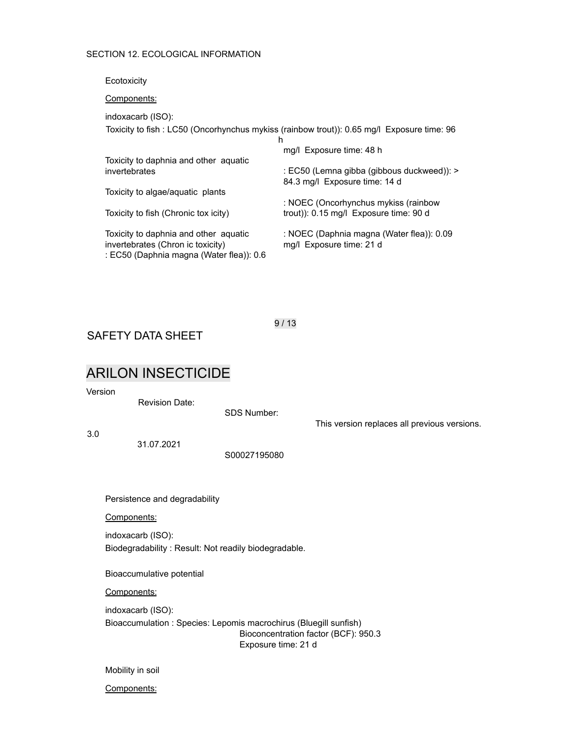### SECTION 12. ECOLOGICAL INFORMATION

Ecotoxicity

Components:

indoxacarb (ISO):

Toxicity to fish : LC50 (Oncorhynchus mykiss (rainbow trout)): 0.65 mg/l Exposure time: 96 h

| Toxicity to daphnia and other aquatic                                                                                  | mg/l Exposure time: 48 h                                                      |
|------------------------------------------------------------------------------------------------------------------------|-------------------------------------------------------------------------------|
| invertebrates                                                                                                          | : EC50 (Lemna gibba (gibbous duckweed)): ><br>84.3 mg/l Exposure time: 14 d   |
| Toxicity to algae/aquatic plants                                                                                       |                                                                               |
| Toxicity to fish (Chronic tox icity)                                                                                   | : NOEC (Oncorhynchus mykiss (rainbow<br>trout): 0.15 mg/l Exposure time: 90 d |
| Toxicity to daphnia and other aquatic<br>invertebrates (Chron ic toxicity)<br>: EC50 (Daphnia magna (Water flea)): 0.6 | : NOEC (Daphnia magna (Water flea)): 0.09<br>mg/l Exposure time: 21 d         |

SAFETY DATA SHEET

# ARILON INSECTICIDE

Version

3.0

Revision Date:

SDS Number: This version replaces all previous versions. 31.07.2021 S00027195080 Persistence and degradability Components: indoxacarb (ISO): Biodegradability : Result: Not readily biodegradable. Bioaccumulative potential Components: indoxacarb (ISO): Bioaccumulation : Species: Lepomis macrochirus (Bluegill sunfish) Bioconcentration factor (BCF): 950.3 Exposure time: 21 d

Mobility in soil

Components:

9 / 13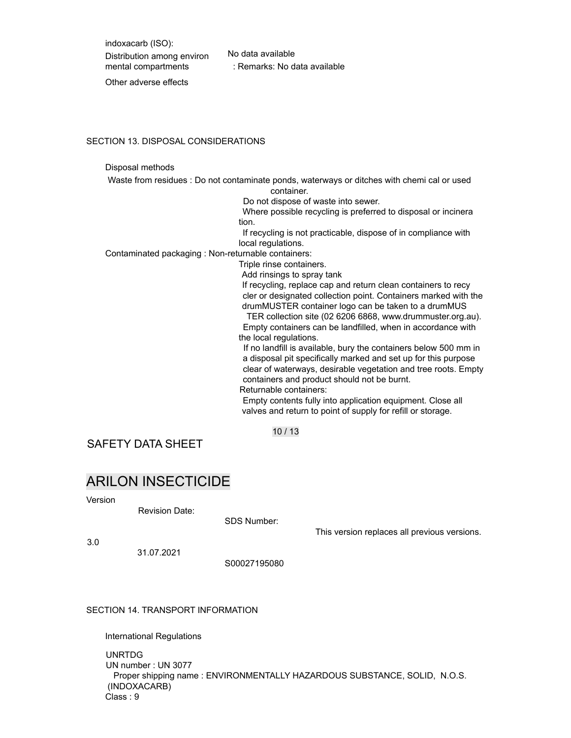indoxacarb (ISO): Distribution among environ mental compartments

No data available : Remarks: No data available

Other adverse effects

#### SECTION 13. DISPOSAL CONSIDERATIONS

#### Disposal methods

Waste from residues : Do not contaminate ponds, waterways or ditches with chemi cal or used container.

Do not dispose of waste into sewer.

Where possible recycling is preferred to disposal or incinera tion.

If recycling is not practicable, dispose of in compliance with local regulations.

Contaminated packaging : Non-returnable containers:

Triple rinse containers.

Add rinsings to spray tank

If recycling, replace cap and return clean containers to recy cler or designated collection point. Containers marked with the drumMUSTER container logo can be taken to a drumMUS

TER collection site (02 6206 6868, www.drummuster.org.au). Empty containers can be landfilled, when in accordance with the local regulations.

If no landfill is available, bury the containers below 500 mm in a disposal pit specifically marked and set up for this purpose clear of waterways, desirable vegetation and tree roots. Empty containers and product should not be burnt.

Returnable containers:

Empty contents fully into application equipment. Close all valves and return to point of supply for refill or storage.

10 / 13

SAFETY DATA SHEET

## ARILON INSECTICIDE

Version

Revision Date:

SDS Number:

This version replaces all previous versions.

3.0

31.07.2021

S00027195080

SECTION 14. TRANSPORT INFORMATION

International Regulations

UNRTDG

UN number : UN 3077 Proper shipping name : ENVIRONMENTALLY HAZARDOUS SUBSTANCE, SOLID, N.O.S. (INDOXACARB) Class : 9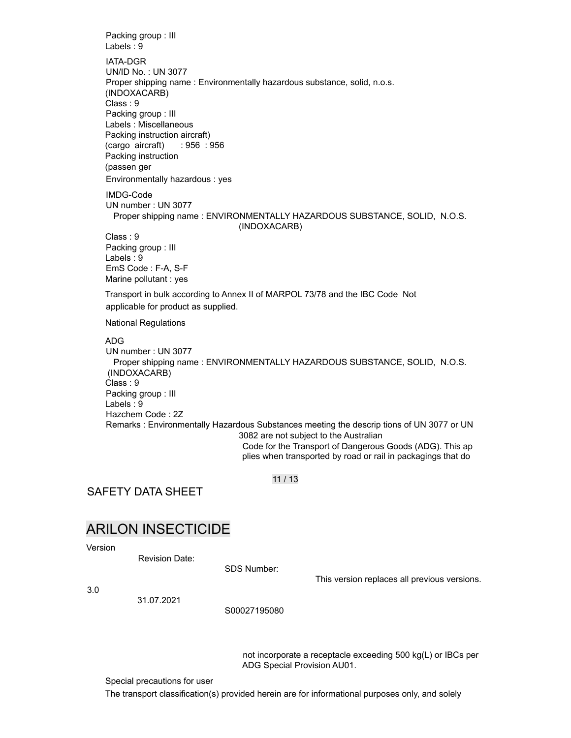Packing group : III Labels : 9 IATA-DGR UN/ID No. : UN 3077 Proper shipping name : Environmentally hazardous substance, solid, n.o.s. (INDOXACARB) Class : 9 Packing group : III Labels : Miscellaneous Packing instruction aircraft) (cargo aircraft) Packing instruction (passen ger : 956 : 956 Environmentally hazardous : yes IMDG-Code UN number : UN 3077 Proper shipping name : ENVIRONMENTALLY HAZARDOUS SUBSTANCE, SOLID, N.O.S. (INDOXACARB) Class : 9 Packing group : III Labels : 9 EmS Code : F-A, S-F Marine pollutant : yes Transport in bulk according to Annex II of MARPOL 73/78 and the IBC Code Not applicable for product as supplied. National Regulations ADG UN number : UN 3077 Proper shipping name : ENVIRONMENTALLY HAZARDOUS SUBSTANCE, SOLID, N.O.S. (INDOXACARB) Class : 9 Packing group : III Labels : 9 Hazchem Code : 2Z Remarks : Environmentally Hazardous Substances meeting the descrip tions of UN 3077 or UN 3082 are not subject to the Australian Code for the Transport of Dangerous Goods (ADG). This ap plies when transported by road or rail in packagings that do

11 / 13

SAFETY DATA SHEET

# ARILON INSECTICIDE

Version

Revision Date:

SDS Number:

This version replaces all previous versions.

3.0

31.07.2021

S00027195080

not incorporate a receptacle exceeding 500 kg(L) or IBCs per ADG Special Provision AU01.

Special precautions for user

The transport classification(s) provided herein are for informational purposes only, and solely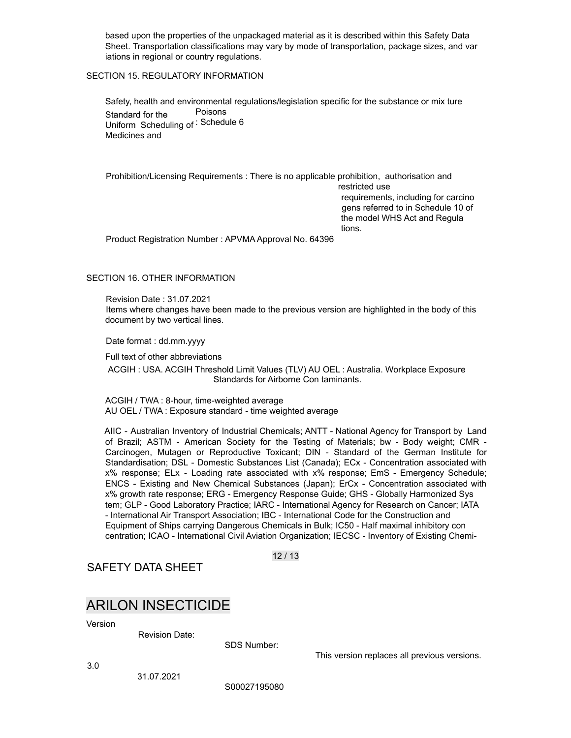based upon the properties of the unpackaged material as it is described within this Safety Data Sheet. Transportation classifications may vary by mode of transportation, package sizes, and var iations in regional or country regulations.

### SECTION 15. REGULATORY INFORMATION

Safety, health and environmental regulations/legislation specific for the substance or mix ture Standard for the Uniform Scheduling of : Schedule 6 Medicines and Poisons

Prohibition/Licensing Requirements : There is no applicable prohibition, authorisation and

restricted use requirements, including for carcino gens referred to in Schedule 10 of the model WHS Act and Regula tions.

Product Registration Number : APVMA Approval No. 64396

### SECTION 16. OTHER INFORMATION

Revision Date : 31.07.2021 Items where changes have been made to the previous version are highlighted in the body of this document by two vertical lines.

Date format : dd.mm.yyyy

Full text of other abbreviations

ACGIH : USA. ACGIH Threshold Limit Values (TLV) AU OEL : Australia. Workplace Exposure Standards for Airborne Con taminants.

ACGIH / TWA : 8-hour, time-weighted average AU OEL / TWA : Exposure standard - time weighted average

AIIC - Australian Inventory of Industrial Chemicals; ANTT - National Agency for Transport by Land of Brazil; ASTM - American Society for the Testing of Materials; bw - Body weight; CMR - Carcinogen, Mutagen or Reproductive Toxicant; DIN - Standard of the German Institute for Standardisation; DSL - Domestic Substances List (Canada); ECx - Concentration associated with x% response; ELx - Loading rate associated with x% response; EmS - Emergency Schedule; ENCS - Existing and New Chemical Substances (Japan); ErCx - Concentration associated with x% growth rate response; ERG - Emergency Response Guide; GHS - Globally Harmonized Sys tem; GLP - Good Laboratory Practice; IARC - International Agency for Research on Cancer; IATA - International Air Transport Association; IBC - International Code for the Construction and Equipment of Ships carrying Dangerous Chemicals in Bulk; IC50 - Half maximal inhibitory con centration; ICAO - International Civil Aviation Organization; IECSC - Inventory of Existing Chemi-

12 / 13

SAFETY DATA SHEET

## ARILON INSECTICIDE

Version

Revision Date:

SDS Number:

This version replaces all previous versions.

3.0

S00027195080